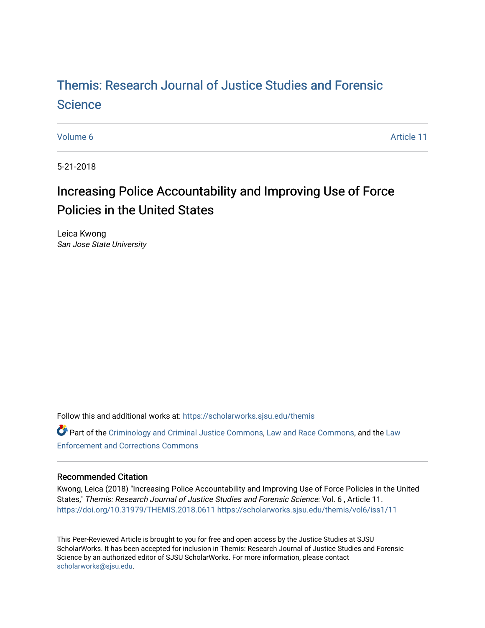# [Themis: Research Journal of Justice Studies and Forensic](https://scholarworks.sjsu.edu/themis)  **Science**

[Volume 6](https://scholarworks.sjsu.edu/themis/vol6) Article 11

5-21-2018

# Increasing Police Accountability and Improving Use of Force Policies in the United States

Leica Kwong San Jose State University

Follow this and additional works at: [https://scholarworks.sjsu.edu/themis](https://scholarworks.sjsu.edu/themis?utm_source=scholarworks.sjsu.edu%2Fthemis%2Fvol6%2Fiss1%2F11&utm_medium=PDF&utm_campaign=PDFCoverPages)

Part of the [Criminology and Criminal Justice Commons](http://network.bepress.com/hgg/discipline/367?utm_source=scholarworks.sjsu.edu%2Fthemis%2Fvol6%2Fiss1%2F11&utm_medium=PDF&utm_campaign=PDFCoverPages), [Law and Race Commons](http://network.bepress.com/hgg/discipline/1300?utm_source=scholarworks.sjsu.edu%2Fthemis%2Fvol6%2Fiss1%2F11&utm_medium=PDF&utm_campaign=PDFCoverPages), and the [Law](http://network.bepress.com/hgg/discipline/854?utm_source=scholarworks.sjsu.edu%2Fthemis%2Fvol6%2Fiss1%2F11&utm_medium=PDF&utm_campaign=PDFCoverPages)  [Enforcement and Corrections Commons](http://network.bepress.com/hgg/discipline/854?utm_source=scholarworks.sjsu.edu%2Fthemis%2Fvol6%2Fiss1%2F11&utm_medium=PDF&utm_campaign=PDFCoverPages) 

## Recommended Citation

Kwong, Leica (2018) "Increasing Police Accountability and Improving Use of Force Policies in the United States," Themis: Research Journal of Justice Studies and Forensic Science: Vol. 6 , Article 11. <https://doi.org/10.31979/THEMIS.2018.0611> [https://scholarworks.sjsu.edu/themis/vol6/iss1/11](https://scholarworks.sjsu.edu/themis/vol6/iss1/11?utm_source=scholarworks.sjsu.edu%2Fthemis%2Fvol6%2Fiss1%2F11&utm_medium=PDF&utm_campaign=PDFCoverPages)

This Peer-Reviewed Article is brought to you for free and open access by the Justice Studies at SJSU ScholarWorks. It has been accepted for inclusion in Themis: Research Journal of Justice Studies and Forensic Science by an authorized editor of SJSU ScholarWorks. For more information, please contact [scholarworks@sjsu.edu](mailto:scholarworks@sjsu.edu).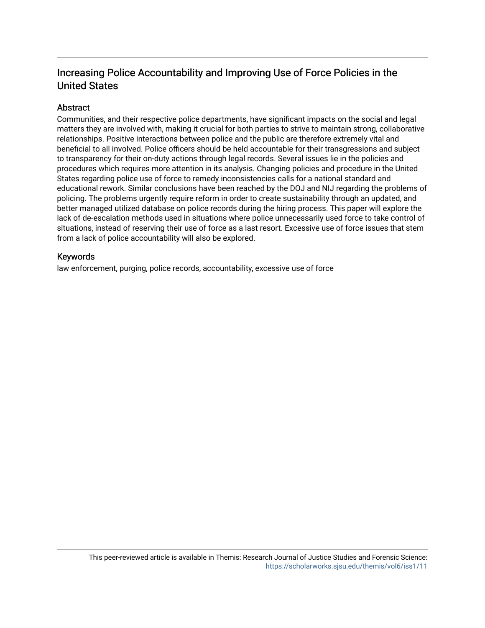# Increasing Police Accountability and Improving Use of Force Policies in the United States

## Abstract

Communities, and their respective police departments, have significant impacts on the social and legal matters they are involved with, making it crucial for both parties to strive to maintain strong, collaborative relationships. Positive interactions between police and the public are therefore extremely vital and beneficial to all involved. Police officers should be held accountable for their transgressions and subject to transparency for their on-duty actions through legal records. Several issues lie in the policies and procedures which requires more attention in its analysis. Changing policies and procedure in the United States regarding police use of force to remedy inconsistencies calls for a national standard and educational rework. Similar conclusions have been reached by the DOJ and NIJ regarding the problems of policing. The problems urgently require reform in order to create sustainability through an updated, and better managed utilized database on police records during the hiring process. This paper will explore the lack of de-escalation methods used in situations where police unnecessarily used force to take control of situations, instead of reserving their use of force as a last resort. Excessive use of force issues that stem from a lack of police accountability will also be explored.

## Keywords

law enforcement, purging, police records, accountability, excessive use of force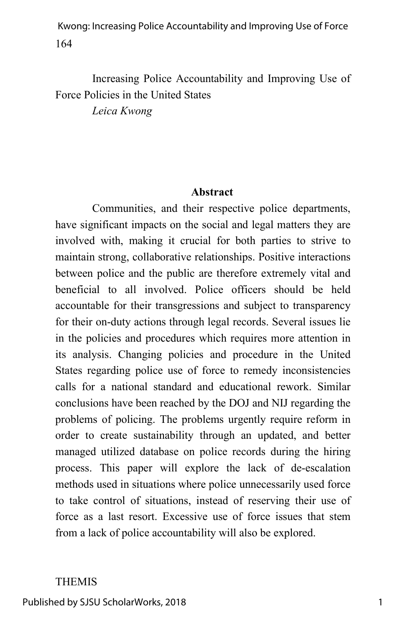Increasing Police Accountability and Improving Use of Force Policies in the United States

*Leica Kwong*

#### **Abstract**

Communities, and their respective police departments, have significant impacts on the social and legal matters they are involved with, making it crucial for both parties to strive to maintain strong, collaborative relationships. Positive interactions between police and the public are therefore extremely vital and beneficial to all involved. Police officers should be held accountable for their transgressions and subject to transparency for their on-duty actions through legal records. Several issues lie in the policies and procedures which requires more attention in its analysis. Changing policies and procedure in the United States regarding police use of force to remedy inconsistencies calls for a national standard and educational rework. Similar conclusions have been reached by the DOJ and NIJ regarding the problems of policing. The problems urgently require reform in order to create sustainability through an updated, and better managed utilized database on police records during the hiring process. This paper will explore the lack of de-escalation methods used in situations where police unnecessarily used force to take control of situations, instead of reserving their use of force as a last resort. Excessive use of force issues that stem from a lack of police accountability will also be explored.

#### THEMIS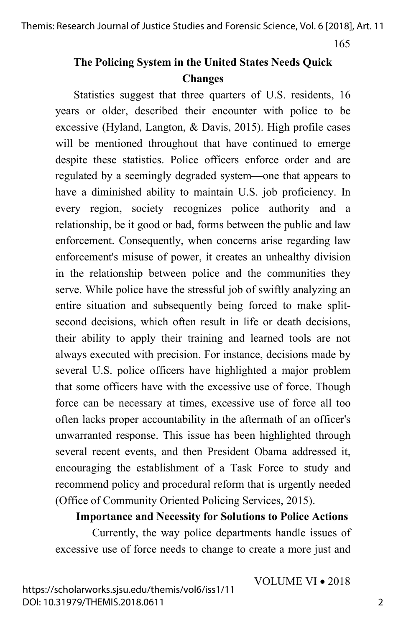# **The Policing System in the United States Needs Quick Changes**

Statistics suggest that three quarters of U.S. residents, 16 years or older, described their encounter with police to be excessive (Hyland, Langton, & Davis, 2015). High profile cases will be mentioned throughout that have continued to emerge despite these statistics. Police officers enforce order and are regulated by a seemingly degraded system—one that appears to have a diminished ability to maintain U.S. job proficiency. In every region, society recognizes police authority and a relationship, be it good or bad, forms between the public and law enforcement. Consequently, when concerns arise regarding law enforcement's misuse of power, it creates an unhealthy division in the relationship between police and the communities they serve. While police have the stressful job of swiftly analyzing an entire situation and subsequently being forced to make splitsecond decisions, which often result in life or death decisions, their ability to apply their training and learned tools are not always executed with precision. For instance, decisions made by several U.S. police officers have highlighted a major problem that some officers have with the excessive use of force. Though force can be necessary at times, excessive use of force all too often lacks proper accountability in the aftermath of an officer's unwarranted response. This issue has been highlighted through several recent events, and then President Obama addressed it, encouraging the establishment of a Task Force to study and recommend policy and procedural reform that is urgently needed (Office of Community Oriented Policing Services, 2015).

**Importance and Necessity for Solutions to Police Actions** 

Currently, the way police departments handle issues of excessive use of force needs to change to create a more just and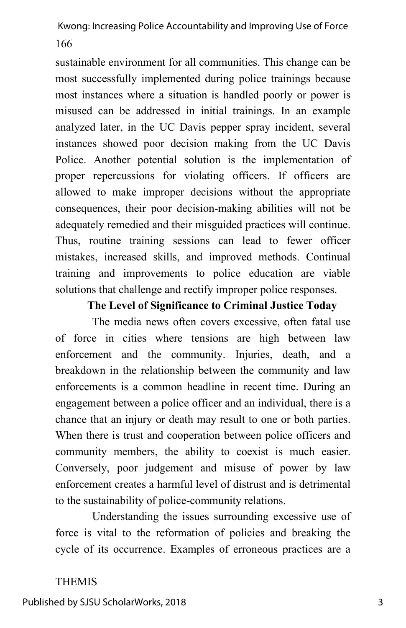sustainable environment for all communities. This change can be most successfully implemented during police trainings because most instances where a situation is handled poorly or power is misused can be addressed in initial trainings. In an example analyzed later, in the UC Davis pepper spray incident, several instances showed poor decision making from the UC Davis Police. Another potential solution is the implementation of proper repercussions for violating officers. If officers are allowed to make improper decisions without the appropriate consequences, their poor decision-making abilities will not be adequately remedied and their misguided practices will continue. Thus, routine training sessions can lead to fewer officer mistakes, increased skills, and improved methods. Continual training and improvements to police education are viable solutions that challenge and rectify improper police responses.

## **The Level of Significance to Criminal Justice Today**

The media news often covers excessive, often fatal use of force in cities where tensions are high between law enforcement and the community. Injuries, death, and a breakdown in the relationship between the community and law enforcements is a common headline in recent time. During an engagement between a police officer and an individual, there is a chance that an injury or death may result to one or both parties. When there is trust and cooperation between police officers and community members, the ability to coexist is much easier. Conversely, poor judgement and misuse of power by law enforcement creates a harmful level of distrust and is detrimental to the sustainability of police-community relations.

Understanding the issues surrounding excessive use of force is vital to the reformation of policies and breaking the cycle of its occurrence. Examples of erroneous practices are a

## THEMIS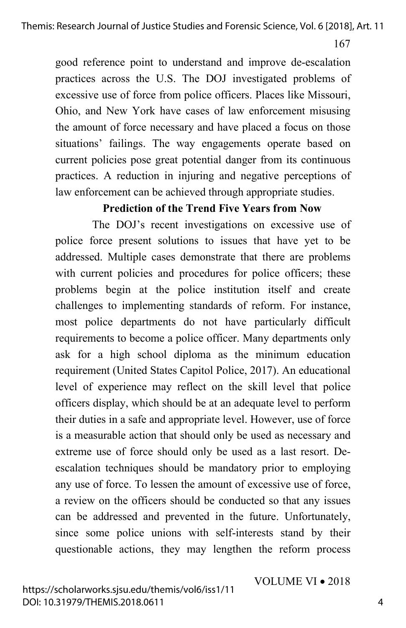good reference point to understand and improve de-escalation practices across the U.S. The DOJ investigated problems of excessive use of force from police officers. Places like Missouri, Ohio, and New York have cases of law enforcement misusing the amount of force necessary and have placed a focus on those situations' failings. The way engagements operate based on current policies pose great potential danger from its continuous practices. A reduction in injuring and negative perceptions of law enforcement can be achieved through appropriate studies.

## **Prediction of the Trend Five Years from Now**

The DOJ's recent investigations on excessive use of police force present solutions to issues that have yet to be addressed. Multiple cases demonstrate that there are problems with current policies and procedures for police officers; these problems begin at the police institution itself and create challenges to implementing standards of reform. For instance, most police departments do not have particularly difficult requirements to become a police officer. Many departments only ask for a high school diploma as the minimum education requirement (United States Capitol Police, 2017). An educational level of experience may reflect on the skill level that police officers display, which should be at an adequate level to perform their duties in a safe and appropriate level. However, use of force is a measurable action that should only be used as necessary and extreme use of force should only be used as a last resort. Deescalation techniques should be mandatory prior to employing any use of force. To lessen the amount of excessive use of force, a review on the officers should be conducted so that any issues can be addressed and prevented in the future. Unfortunately, since some police unions with self-interests stand by their questionable actions, they may lengthen the reform process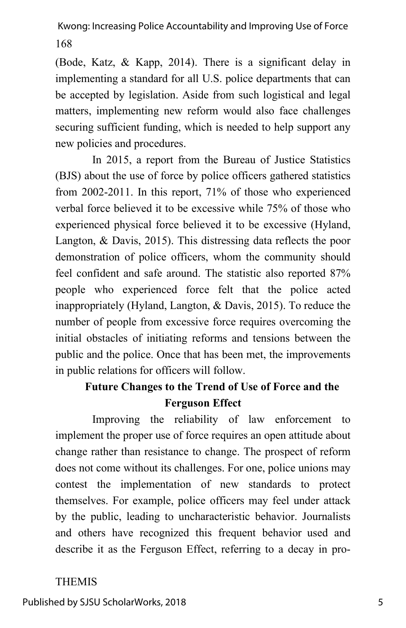(Bode, Katz, & Kapp, 2014). There is a significant delay in implementing a standard for all U.S. police departments that can be accepted by legislation. Aside from such logistical and legal matters, implementing new reform would also face challenges securing sufficient funding, which is needed to help support any new policies and procedures.

In 2015, a report from the Bureau of Justice Statistics (BJS) about the use of force by police officers gathered statistics from 2002-2011. In this report, 71% of those who experienced verbal force believed it to be excessive while 75% of those who experienced physical force believed it to be excessive (Hyland, Langton, & Davis, 2015). This distressing data reflects the poor demonstration of police officers, whom the community should feel confident and safe around. The statistic also reported 87% people who experienced force felt that the police acted inappropriately (Hyland, Langton, & Davis, 2015). To reduce the number of people from excessive force requires overcoming the initial obstacles of initiating reforms and tensions between the public and the police. Once that has been met, the improvements in public relations for officers will follow.

# **Future Changes to the Trend of Use of Force and the Ferguson Effect**

Improving the reliability of law enforcement to implement the proper use of force requires an open attitude about change rather than resistance to change. The prospect of reform does not come without its challenges. For one, police unions may contest the implementation of new standards to protect themselves. For example, police officers may feel under attack by the public, leading to uncharacteristic behavior. Journalists and others have recognized this frequent behavior used and describe it as the Ferguson Effect, referring to a decay in pro-

## THEMIS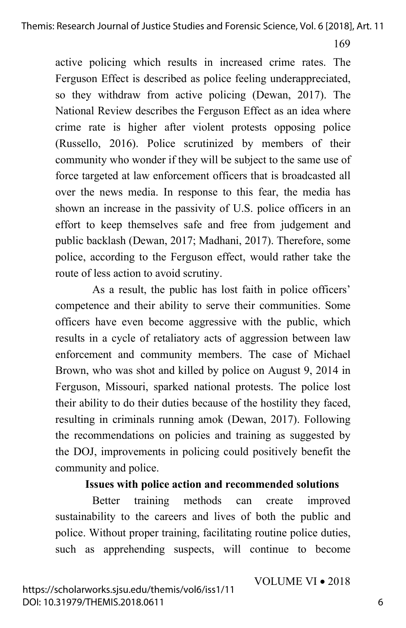active policing which results in increased crime rates. The Ferguson Effect is described as police feeling underappreciated, so they withdraw from active policing (Dewan, 2017). The National Review describes the Ferguson Effect as an idea where crime rate is higher after violent protests opposing police (Russello, 2016). Police scrutinized by members of their community who wonder if they will be subject to the same use of force targeted at law enforcement officers that is broadcasted all over the news media. In response to this fear, the media has shown an increase in the passivity of U.S. police officers in an effort to keep themselves safe and free from judgement and public backlash (Dewan, 2017; Madhani, 2017). Therefore, some police, according to the Ferguson effect, would rather take the route of less action to avoid scrutiny.

As a result, the public has lost faith in police officers' competence and their ability to serve their communities. Some officers have even become aggressive with the public, which results in a cycle of retaliatory acts of aggression between law enforcement and community members. The case of Michael Brown, who was shot and killed by police on August 9, 2014 in Ferguson, Missouri, sparked national protests. The police lost their ability to do their duties because of the hostility they faced, resulting in criminals running amok (Dewan, 2017). Following the recommendations on policies and training as suggested by the DOJ, improvements in policing could positively benefit the community and police.

## **Issues with police action and recommended solutions**

Better training methods can create improved sustainability to the careers and lives of both the public and police. Without proper training, facilitating routine police duties, such as apprehending suspects, will continue to become

VOLUME VI • 2018

6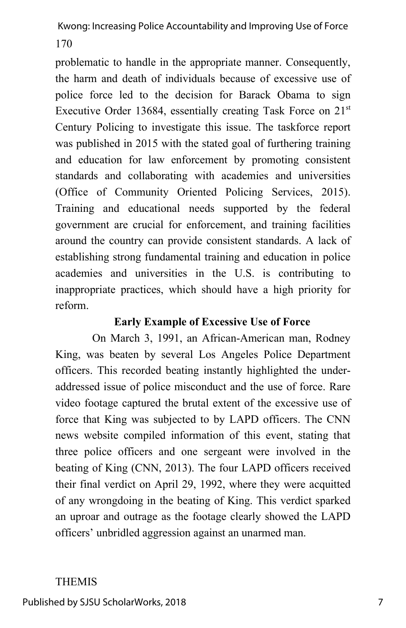problematic to handle in the appropriate manner. Consequently, the harm and death of individuals because of excessive use of police force led to the decision for Barack Obama to sign Executive Order 13684, essentially creating Task Force on  $21<sup>st</sup>$ Century Policing to investigate this issue. The taskforce report was published in 2015 with the stated goal of furthering training and education for law enforcement by promoting consistent standards and collaborating with academies and universities (Office of Community Oriented Policing Services, 2015). Training and educational needs supported by the federal government are crucial for enforcement, and training facilities around the country can provide consistent standards. A lack of establishing strong fundamental training and education in police academies and universities in the U.S. is contributing to inappropriate practices, which should have a high priority for reform.

## **Early Example of Excessive Use of Force**

On March 3, 1991, an African-American man, Rodney King, was beaten by several Los Angeles Police Department officers. This recorded beating instantly highlighted the underaddressed issue of police misconduct and the use of force. Rare video footage captured the brutal extent of the excessive use of force that King was subjected to by LAPD officers. The CNN news website compiled information of this event, stating that three police officers and one sergeant were involved in the beating of King (CNN, 2013). The four LAPD officers received their final verdict on April 29, 1992, where they were acquitted of any wrongdoing in the beating of King. This verdict sparked an uproar and outrage as the footage clearly showed the LAPD officers' unbridled aggression against an unarmed man.

#### THEMIS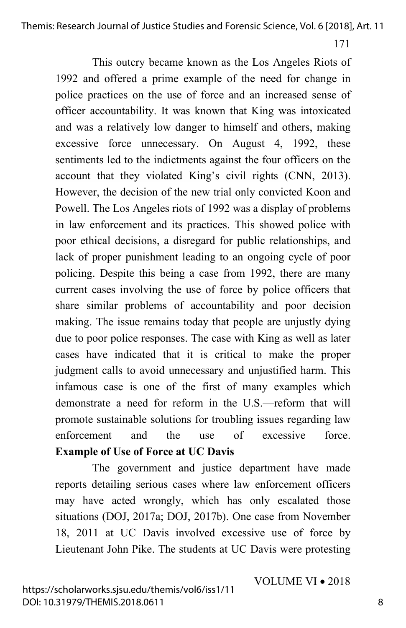Themis: Research Journal of Justice Studies and Forensic Science, Vol. 6 [2018], Art. 11

171

This outcry became known as the Los Angeles Riots of 1992 and offered a prime example of the need for change in police practices on the use of force and an increased sense of officer accountability. It was known that King was intoxicated and was a relatively low danger to himself and others, making excessive force unnecessary. On August 4, 1992, these sentiments led to the indictments against the four officers on the account that they violated King's civil rights (CNN, 2013). However, the decision of the new trial only convicted Koon and Powell. The Los Angeles riots of 1992 was a display of problems in law enforcement and its practices. This showed police with poor ethical decisions, a disregard for public relationships, and lack of proper punishment leading to an ongoing cycle of poor policing. Despite this being a case from 1992, there are many current cases involving the use of force by police officers that share similar problems of accountability and poor decision making. The issue remains today that people are unjustly dying due to poor police responses. The case with King as well as later cases have indicated that it is critical to make the proper judgment calls to avoid unnecessary and unjustified harm. This infamous case is one of the first of many examples which demonstrate a need for reform in the U.S.—reform that will promote sustainable solutions for troubling issues regarding law enforcement and the use of excessive force. **Example of Use of Force at UC Davis**

The government and justice department have made reports detailing serious cases where law enforcement officers may have acted wrongly, which has only escalated those situations (DOJ, 2017a; DOJ, 2017b). One case from November 18, 2011 at UC Davis involved excessive use of force by Lieutenant John Pike. The students at UC Davis were protesting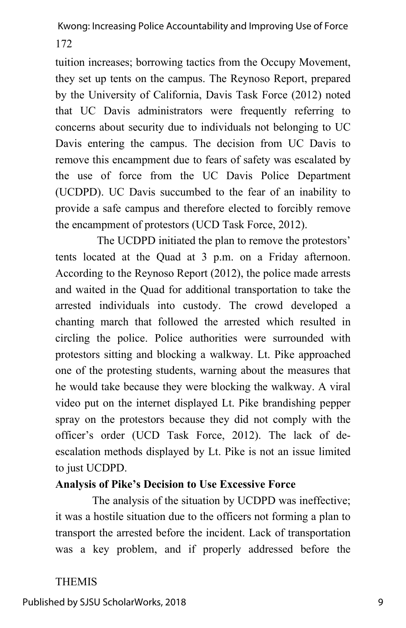tuition increases; borrowing tactics from the Occupy Movement, they set up tents on the campus. The Reynoso Report, prepared by the University of California, Davis Task Force (2012) noted that UC Davis administrators were frequently referring to concerns about security due to individuals not belonging to UC Davis entering the campus. The decision from UC Davis to remove this encampment due to fears of safety was escalated by the use of force from the UC Davis Police Department (UCDPD). UC Davis succumbed to the fear of an inability to provide a safe campus and therefore elected to forcibly remove the encampment of protestors (UCD Task Force, 2012).

The UCDPD initiated the plan to remove the protestors' tents located at the Quad at 3 p.m. on a Friday afternoon. According to the Reynoso Report (2012), the police made arrests and waited in the Quad for additional transportation to take the arrested individuals into custody. The crowd developed a chanting march that followed the arrested which resulted in circling the police. Police authorities were surrounded with protestors sitting and blocking a walkway. Lt. Pike approached one of the protesting students, warning about the measures that he would take because they were blocking the walkway. A viral video put on the internet displayed Lt. Pike brandishing pepper spray on the protestors because they did not comply with the officer's order (UCD Task Force, 2012). The lack of deescalation methods displayed by Lt. Pike is not an issue limited to just UCDPD.

## **Analysis of Pike's Decision to Use Excessive Force**

The analysis of the situation by UCDPD was ineffective; it was a hostile situation due to the officers not forming a plan to transport the arrested before the incident. Lack of transportation was a key problem, and if properly addressed before the

## THEMIS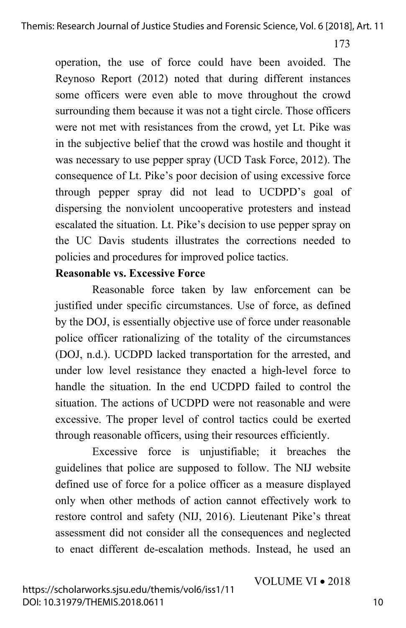operation, the use of force could have been avoided. The Reynoso Report (2012) noted that during different instances some officers were even able to move throughout the crowd surrounding them because it was not a tight circle. Those officers were not met with resistances from the crowd, yet Lt. Pike was in the subjective belief that the crowd was hostile and thought it was necessary to use pepper spray (UCD Task Force, 2012). The consequence of Lt. Pike's poor decision of using excessive force through pepper spray did not lead to UCDPD's goal of dispersing the nonviolent uncooperative protesters and instead escalated the situation. Lt. Pike's decision to use pepper spray on the UC Davis students illustrates the corrections needed to policies and procedures for improved police tactics.

## **Reasonable vs. Excessive Force**

Reasonable force taken by law enforcement can be justified under specific circumstances. Use of force, as defined by the DOJ, is essentially objective use of force under reasonable police officer rationalizing of the totality of the circumstances (DOJ, n.d.). UCDPD lacked transportation for the arrested, and under low level resistance they enacted a high-level force to handle the situation. In the end UCDPD failed to control the situation. The actions of UCDPD were not reasonable and were excessive. The proper level of control tactics could be exerted through reasonable officers, using their resources efficiently.

Excessive force is unjustifiable; it breaches the guidelines that police are supposed to follow. The NIJ website defined use of force for a police officer as a measure displayed only when other methods of action cannot effectively work to restore control and safety (NIJ, 2016). Lieutenant Pike's threat assessment did not consider all the consequences and neglected to enact different de-escalation methods. Instead, he used an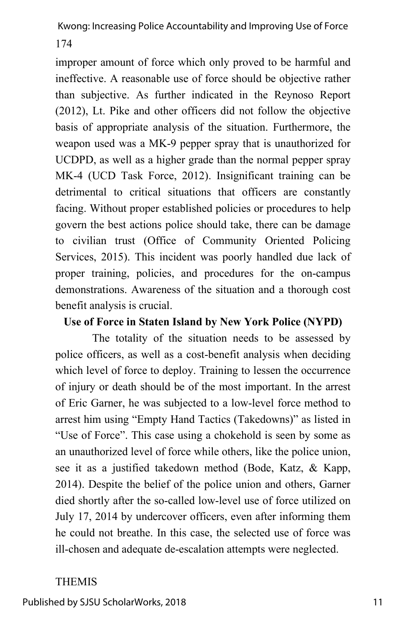174

improper amount of force which only proved to be harmful and ineffective. A reasonable use of force should be objective rather than subjective. As further indicated in the Reynoso Report (2012), Lt. Pike and other officers did not follow the objective basis of appropriate analysis of the situation. Furthermore, the weapon used was a MK-9 pepper spray that is unauthorized for UCDPD, as well as a higher grade than the normal pepper spray MK-4 (UCD Task Force, 2012). Insignificant training can be detrimental to critical situations that officers are constantly facing. Without proper established policies or procedures to help govern the best actions police should take, there can be damage to civilian trust (Office of Community Oriented Policing Services, 2015). This incident was poorly handled due lack of proper training, policies, and procedures for the on-campus demonstrations. Awareness of the situation and a thorough cost benefit analysis is crucial.

## **Use of Force in Staten Island by New York Police (NYPD)**

The totality of the situation needs to be assessed by police officers, as well as a cost-benefit analysis when deciding which level of force to deploy. Training to lessen the occurrence of injury or death should be of the most important. In the arrest of Eric Garner, he was subjected to a low-level force method to arrest him using "Empty Hand Tactics (Takedowns)" as listed in "Use of Force". This case using a chokehold is seen by some as an unauthorized level of force while others, like the police union, see it as a justified takedown method (Bode, Katz, & Kapp, 2014). Despite the belief of the police union and others, Garner died shortly after the so-called low-level use of force utilized on July 17, 2014 by undercover officers, even after informing them he could not breathe. In this case, the selected use of force was ill-chosen and adequate de-escalation attempts were neglected.

## THEMIS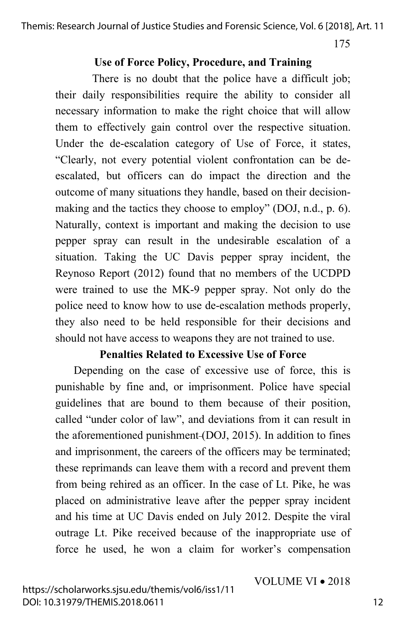Themis: Research Journal of Justice Studies and Forensic Science, Vol. 6 [2018], Art. 11

175

#### **Use of Force Policy, Procedure, and Training**

There is no doubt that the police have a difficult job; their daily responsibilities require the ability to consider all necessary information to make the right choice that will allow them to effectively gain control over the respective situation. Under the de-escalation category of Use of Force, it states, "Clearly, not every potential violent confrontation can be deescalated, but officers can do impact the direction and the outcome of many situations they handle, based on their decisionmaking and the tactics they choose to employ" (DOJ, n.d., p. 6). Naturally, context is important and making the decision to use pepper spray can result in the undesirable escalation of a situation. Taking the UC Davis pepper spray incident, the Reynoso Report (2012) found that no members of the UCDPD were trained to use the MK-9 pepper spray. Not only do the police need to know how to use de-escalation methods properly, they also need to be held responsible for their decisions and should not have access to weapons they are not trained to use.

#### **Penalties Related to Excessive Use of Force**

Depending on the case of excessive use of force, this is punishable by fine and, or imprisonment. Police have special guidelines that are bound to them because of their position, called "under color of law", and deviations from it can result in the aforementioned punishment (DOJ, 2015). In addition to fines and imprisonment, the careers of the officers may be terminated; these reprimands can leave them with a record and prevent them from being rehired as an officer. In the case of Lt. Pike, he was placed on administrative leave after the pepper spray incident and his time at UC Davis ended on July 2012. Despite the viral outrage Lt. Pike received because of the inappropriate use of force he used, he won a claim for worker's compensation

VOLUME VI • 2018

https://scholarworks.sjsu.edu/themis/vol6/iss1/11 DOI: 10.31979/THEMIS.2018.0611

12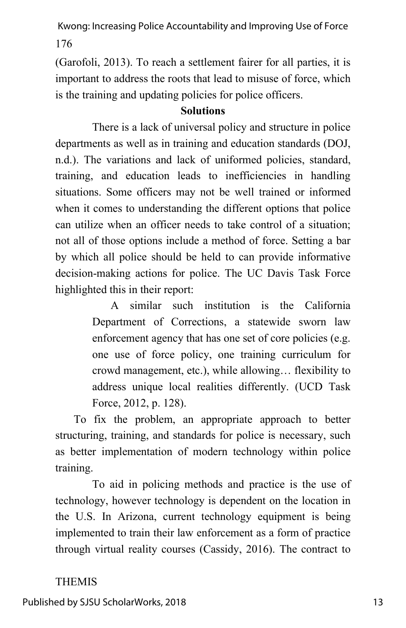(Garofoli, 2013). To reach a settlement fairer for all parties, it is important to address the roots that lead to misuse of force, which is the training and updating policies for police officers.

#### **Solutions**

There is a lack of universal policy and structure in police departments as well as in training and education standards (DOJ, n.d.). The variations and lack of uniformed policies, standard, training, and education leads to inefficiencies in handling situations. Some officers may not be well trained or informed when it comes to understanding the different options that police can utilize when an officer needs to take control of a situation; not all of those options include a method of force. Setting a bar by which all police should be held to can provide informative decision-making actions for police. The UC Davis Task Force highlighted this in their report:

> A similar such institution is the California Department of Corrections, a statewide sworn law enforcement agency that has one set of core policies (e.g. one use of force policy, one training curriculum for crowd management, etc.), while allowing… flexibility to address unique local realities differently. (UCD Task Force, 2012, p. 128).

To fix the problem, an appropriate approach to better structuring, training, and standards for police is necessary, such as better implementation of modern technology within police training.

To aid in policing methods and practice is the use of technology, however technology is dependent on the location in the U.S. In Arizona, current technology equipment is being implemented to train their law enforcement as a form of practice through virtual reality courses (Cassidy, 2016). The contract to

## THEMIS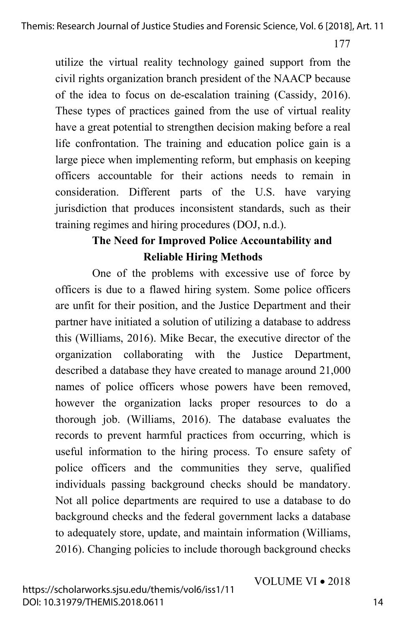utilize the virtual reality technology gained support from the civil rights organization branch president of the NAACP because of the idea to focus on de-escalation training (Cassidy, 2016). These types of practices gained from the use of virtual reality have a great potential to strengthen decision making before a real life confrontation. The training and education police gain is a large piece when implementing reform, but emphasis on keeping officers accountable for their actions needs to remain in consideration. Different parts of the U.S. have varying jurisdiction that produces inconsistent standards, such as their training regimes and hiring procedures (DOJ, n.d.).

# **The Need for Improved Police Accountability and Reliable Hiring Methods**

One of the problems with excessive use of force by officers is due to a flawed hiring system. Some police officers are unfit for their position, and the Justice Department and their partner have initiated a solution of utilizing a database to address this (Williams, 2016). Mike Becar, the executive director of the organization collaborating with the Justice Department, described a database they have created to manage around 21,000 names of police officers whose powers have been removed, however the organization lacks proper resources to do a thorough job. (Williams, 2016). The database evaluates the records to prevent harmful practices from occurring, which is useful information to the hiring process. To ensure safety of police officers and the communities they serve, qualified individuals passing background checks should be mandatory. Not all police departments are required to use a database to do background checks and the federal government lacks a database to adequately store, update, and maintain information (Williams, 2016). Changing policies to include thorough background checks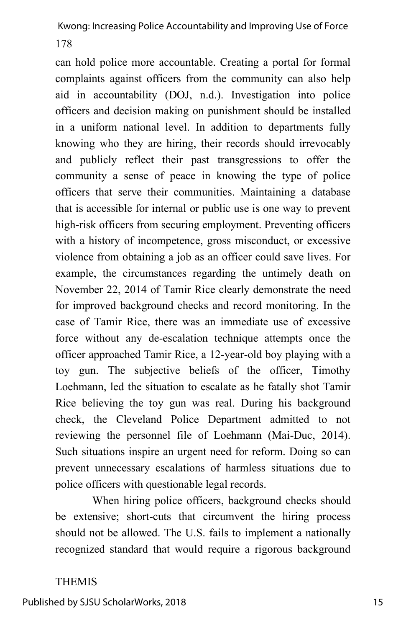can hold police more accountable. Creating a portal for formal complaints against officers from the community can also help aid in accountability (DOJ, n.d.). Investigation into police officers and decision making on punishment should be installed in a uniform national level. In addition to departments fully knowing who they are hiring, their records should irrevocably and publicly reflect their past transgressions to offer the community a sense of peace in knowing the type of police officers that serve their communities. Maintaining a database that is accessible for internal or public use is one way to prevent high-risk officers from securing employment. Preventing officers with a history of incompetence, gross misconduct, or excessive violence from obtaining a job as an officer could save lives. For example, the circumstances regarding the untimely death on November 22, 2014 of Tamir Rice clearly demonstrate the need for improved background checks and record monitoring. In the case of Tamir Rice, there was an immediate use of excessive force without any de-escalation technique attempts once the officer approached Tamir Rice, a 12-year-old boy playing with a toy gun. The subjective beliefs of the officer, Timothy Loehmann, led the situation to escalate as he fatally shot Tamir Rice believing the toy gun was real. During his background check, the Cleveland Police Department admitted to not reviewing the personnel file of Loehmann (Mai-Duc, 2014). Such situations inspire an urgent need for reform. Doing so can prevent unnecessary escalations of harmless situations due to police officers with questionable legal records.

When hiring police officers, background checks should be extensive; short-cuts that circumvent the hiring process should not be allowed. The U.S. fails to implement a nationally recognized standard that would require a rigorous background

## THEMIS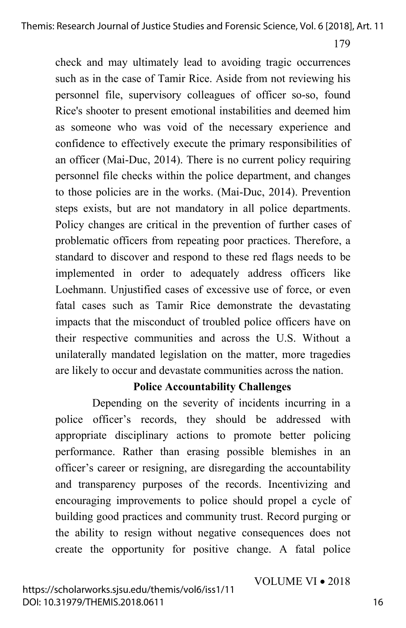check and may ultimately lead to avoiding tragic occurrences such as in the case of Tamir Rice. Aside from not reviewing his personnel file, supervisory colleagues of officer so-so, found Rice's shooter to present emotional instabilities and deemed him as someone who was void of the necessary experience and confidence to effectively execute the primary responsibilities of an officer (Mai-Duc, 2014). There is no current policy requiring personnel file checks within the police department, and changes to those policies are in the works. (Mai-Duc, 2014). Prevention steps exists, but are not mandatory in all police departments. Policy changes are critical in the prevention of further cases of problematic officers from repeating poor practices. Therefore, a standard to discover and respond to these red flags needs to be implemented in order to adequately address officers like Loehmann. Unjustified cases of excessive use of force, or even fatal cases such as Tamir Rice demonstrate the devastating impacts that the misconduct of troubled police officers have on their respective communities and across the U.S. Without a unilaterally mandated legislation on the matter, more tragedies are likely to occur and devastate communities across the nation.

## **Police Accountability Challenges**

Depending on the severity of incidents incurring in a police officer's records, they should be addressed with appropriate disciplinary actions to promote better policing performance. Rather than erasing possible blemishes in an officer's career or resigning, are disregarding the accountability and transparency purposes of the records. Incentivizing and encouraging improvements to police should propel a cycle of building good practices and community trust. Record purging or the ability to resign without negative consequences does not create the opportunity for positive change. A fatal police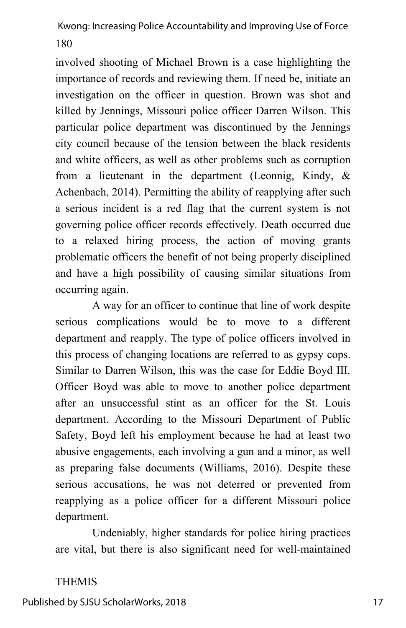involved shooting of Michael Brown is a case highlighting the importance of records and reviewing them. If need be, initiate an investigation on the officer in question. Brown was shot and killed by Jennings, Missouri police officer Darren Wilson. This particular police department was discontinued by the Jennings city council because of the tension between the black residents and white officers, as well as other problems such as corruption from a lieutenant in the department (Leonnig, Kindy, & Achenbach, 2014). Permitting the ability of reapplying after such a serious incident is a red flag that the current system is not governing police officer records effectively. Death occurred due to a relaxed hiring process, the action of moving grants problematic officers the benefit of not being properly disciplined and have a high possibility of causing similar situations from occurring again.

A way for an officer to continue that line of work despite serious complications would be to move to a different department and reapply. The type of police officers involved in this process of changing locations are referred to as gypsy cops. Similar to Darren Wilson, this was the case for Eddie Boyd III. Officer Boyd was able to move to another police department after an unsuccessful stint as an officer for the St. Louis department. According to the Missouri Department of Public Safety, Boyd left his employment because he had at least two abusive engagements, each involving a gun and a minor, as well as preparing false documents (Williams, 2016). Despite these serious accusations, he was not deterred or prevented from reapplying as a police officer for a different Missouri police department.

Undeniably, higher standards for police hiring practices are vital, but there is also significant need for well-maintained

#### THEMIS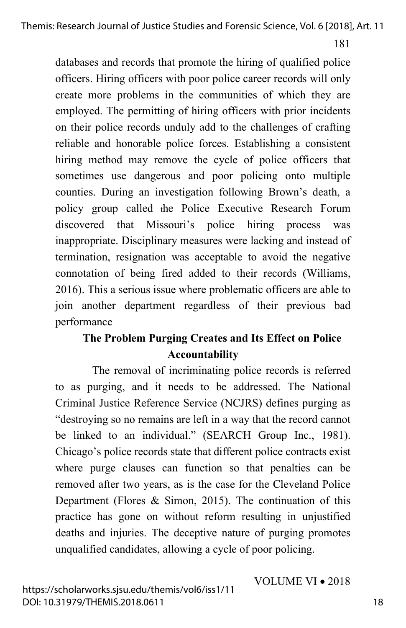databases and records that promote the hiring of qualified police officers. Hiring officers with poor police career records will only create more problems in the communities of which they are employed. The permitting of hiring officers with prior incidents on their police records unduly add to the challenges of crafting reliable and honorable police forces. Establishing a consistent hiring method may remove the cycle of police officers that sometimes use dangerous and poor policing onto multiple counties. During an investigation following Brown's death, a policy group called the Police Executive Research Forum discovered that Missouri's police hiring process was inappropriate. Disciplinary measures were lacking and instead of termination, resignation was acceptable to avoid the negative connotation of being fired added to their records (Williams, 2016). This a serious issue where problematic officers are able to join another department regardless of their previous bad performance

# **The Problem Purging Creates and Its Effect on Police Accountability**

The removal of incriminating police records is referred to as purging, and it needs to be addressed. The National Criminal Justice Reference Service (NCJRS) defines purging as "destroying so no remains are left in a way that the record cannot be linked to an individual." (SEARCH Group Inc., 1981). Chicago's police records state that different police contracts exist where purge clauses can function so that penalties can be removed after two years, as is the case for the Cleveland Police Department (Flores & Simon, 2015). The continuation of this practice has gone on without reform resulting in unjustified deaths and injuries. The deceptive nature of purging promotes unqualified candidates, allowing a cycle of poor policing.

VOLUME VI • 2018

https://scholarworks.sjsu.edu/themis/vol6/iss1/11 DOI: 10.31979/THEMIS.2018.0611

18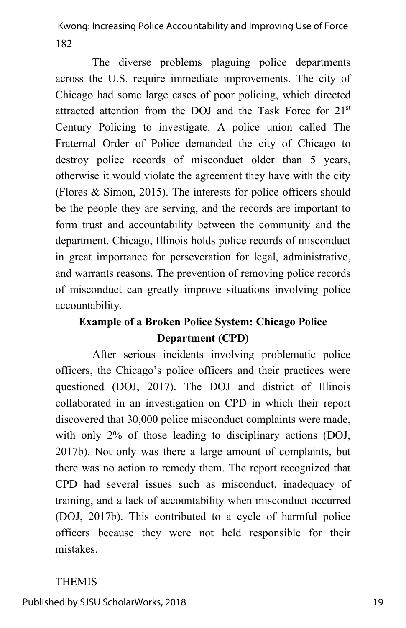The diverse problems plaguing police departments across the U.S. require immediate improvements. The city of Chicago had some large cases of poor policing, which directed attracted attention from the DOJ and the Task Force for 21st Century Policing to investigate. A police union called The Fraternal Order of Police demanded the city of Chicago to destroy police records of misconduct older than 5 years, otherwise it would violate the agreement they have with the city (Flores & Simon, 2015). The interests for police officers should be the people they are serving, and the records are important to form trust and accountability between the community and the department. Chicago, Illinois holds police records of misconduct in great importance for perseveration for legal, administrative, and warrants reasons. The prevention of removing police records of misconduct can greatly improve situations involving police accountability.

# **Example of a Broken Police System: Chicago Police Department (CPD)**

After serious incidents involving problematic police officers, the Chicago's police officers and their practices were questioned (DOJ, 2017). The DOJ and district of Illinois collaborated in an investigation on CPD in which their report discovered that 30,000 police misconduct complaints were made, with only 2% of those leading to disciplinary actions (DOJ, 2017b). Not only was there a large amount of complaints, but there was no action to remedy them. The report recognized that CPD had several issues such as misconduct, inadequacy of training, and a lack of accountability when misconduct occurred (DOJ, 2017b). This contributed to a cycle of harmful police officers because they were not held responsible for their mistakes.

#### THEMIS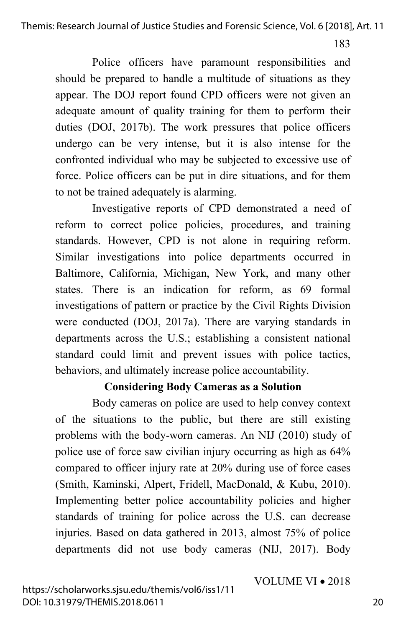Themis: Research Journal of Justice Studies and Forensic Science, Vol. 6 [2018], Art. 11

183

Police officers have paramount responsibilities and should be prepared to handle a multitude of situations as they appear. The DOJ report found CPD officers were not given an adequate amount of quality training for them to perform their duties (DOJ, 2017b). The work pressures that police officers undergo can be very intense, but it is also intense for the confronted individual who may be subjected to excessive use of force. Police officers can be put in dire situations, and for them to not be trained adequately is alarming.

Investigative reports of CPD demonstrated a need of reform to correct police policies, procedures, and training standards. However, CPD is not alone in requiring reform. Similar investigations into police departments occurred in Baltimore, California, Michigan, New York, and many other states. There is an indication for reform, as 69 formal investigations of pattern or practice by the Civil Rights Division were conducted (DOJ, 2017a). There are varying standards in departments across the U.S.; establishing a consistent national standard could limit and prevent issues with police tactics, behaviors, and ultimately increase police accountability.

## **Considering Body Cameras as a Solution**

Body cameras on police are used to help convey context of the situations to the public, but there are still existing problems with the body-worn cameras. An NIJ (2010) study of police use of force saw civilian injury occurring as high as 64% compared to officer injury rate at 20% during use of force cases (Smith, Kaminski, Alpert, Fridell, MacDonald, & Kubu, 2010). Implementing better police accountability policies and higher standards of training for police across the U.S. can decrease injuries. Based on data gathered in 2013, almost 75% of police departments did not use body cameras (NIJ, 2017). Body

VOLUME VI • 2018

https://scholarworks.sjsu.edu/themis/vol6/iss1/11 DOI: 10.31979/THEMIS.2018.0611

20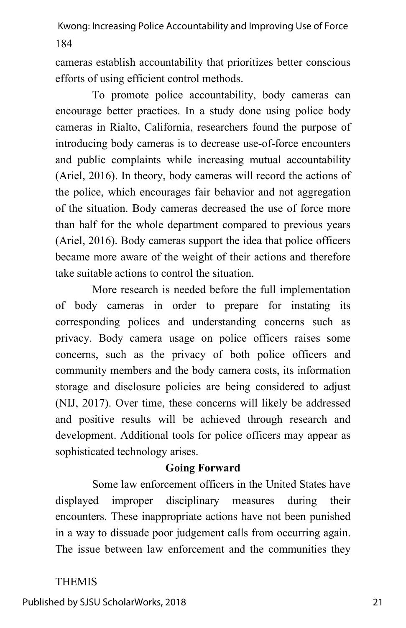cameras establish accountability that prioritizes better conscious efforts of using efficient control methods.

To promote police accountability, body cameras can encourage better practices. In a study done using police body cameras in Rialto, California, researchers found the purpose of introducing body cameras is to decrease use-of-force encounters and public complaints while increasing mutual accountability (Ariel, 2016). In theory, body cameras will record the actions of the police, which encourages fair behavior and not aggregation of the situation. Body cameras decreased the use of force more than half for the whole department compared to previous years (Ariel, 2016). Body cameras support the idea that police officers became more aware of the weight of their actions and therefore take suitable actions to control the situation.

More research is needed before the full implementation of body cameras in order to prepare for instating its corresponding polices and understanding concerns such as privacy. Body camera usage on police officers raises some concerns, such as the privacy of both police officers and community members and the body camera costs, its information storage and disclosure policies are being considered to adjust (NIJ, 2017). Over time, these concerns will likely be addressed and positive results will be achieved through research and development. Additional tools for police officers may appear as sophisticated technology arises.

## **Going Forward**

Some law enforcement officers in the United States have displayed improper disciplinary measures during their encounters. These inappropriate actions have not been punished in a way to dissuade poor judgement calls from occurring again. The issue between law enforcement and the communities they

## THEMIS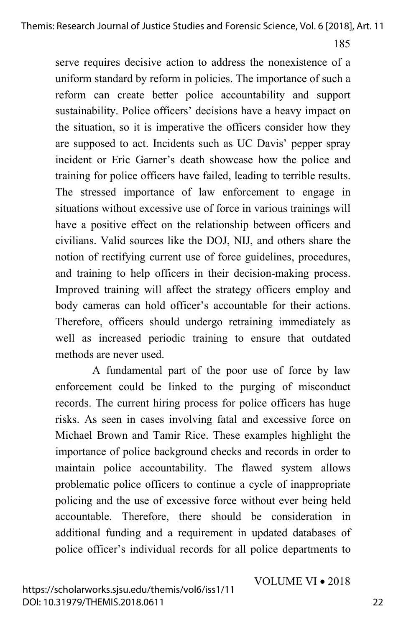serve requires decisive action to address the nonexistence of a uniform standard by reform in policies. The importance of such a reform can create better police accountability and support sustainability. Police officers' decisions have a heavy impact on the situation, so it is imperative the officers consider how they are supposed to act. Incidents such as UC Davis' pepper spray incident or Eric Garner's death showcase how the police and training for police officers have failed, leading to terrible results. The stressed importance of law enforcement to engage in situations without excessive use of force in various trainings will have a positive effect on the relationship between officers and civilians. Valid sources like the DOJ, NIJ, and others share the notion of rectifying current use of force guidelines, procedures, and training to help officers in their decision-making process. Improved training will affect the strategy officers employ and body cameras can hold officer's accountable for their actions. Therefore, officers should undergo retraining immediately as well as increased periodic training to ensure that outdated methods are never used.

A fundamental part of the poor use of force by law enforcement could be linked to the purging of misconduct records. The current hiring process for police officers has huge risks. As seen in cases involving fatal and excessive force on Michael Brown and Tamir Rice. These examples highlight the importance of police background checks and records in order to maintain police accountability. The flawed system allows problematic police officers to continue a cycle of inappropriate policing and the use of excessive force without ever being held accountable. Therefore, there should be consideration in additional funding and a requirement in updated databases of police officer's individual records for all police departments to

VOLUME VI • 2018

22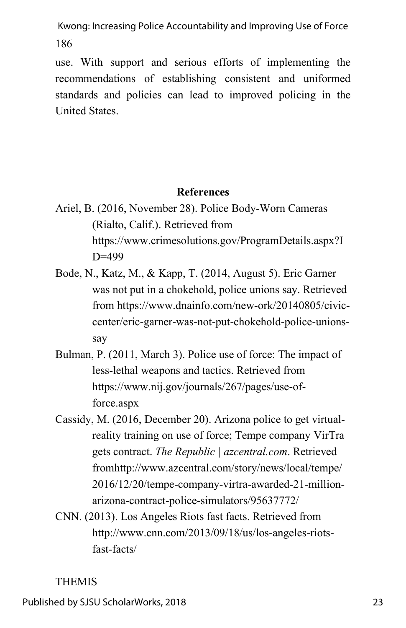use. With support and serious efforts of implementing the recommendations of establishing consistent and uniformed standards and policies can lead to improved policing in the United States.

## **References**

- Ariel, B. (2016, November 28). Police Body-Worn Cameras (Rialto, Calif.). Retrieved from https://www.crimesolutions.gov/ProgramDetails.aspx?I D=499
- Bode, N., Katz, M., & Kapp, T. (2014, August 5). Eric Garner was not put in a chokehold, police unions say. Retrieved from https://www.dnainfo.com/new-ork/20140805/civiccenter/eric-garner-was-not-put-chokehold-police-unionssay
- Bulman, P. (2011, March 3). Police use of force: The impact of less-lethal weapons and tactics. Retrieved from https://www.nij.gov/journals/267/pages/use-offorce.aspx
- Cassidy, M. (2016, December 20). Arizona police to get virtualreality training on use of force; Tempe company VirTra gets contract. *The Republic | azcentral.com*. Retrieved fromhttp://www.azcentral.com/story/news/local/tempe/ 2016/12/20/tempe-company-virtra-awarded-21-millionarizona-contract-police-simulators/95637772/
- CNN. (2013). Los Angeles Riots fast facts. Retrieved from http://www.cnn.com/2013/09/18/us/los-angeles-riotsfast-facts/

## THEMIS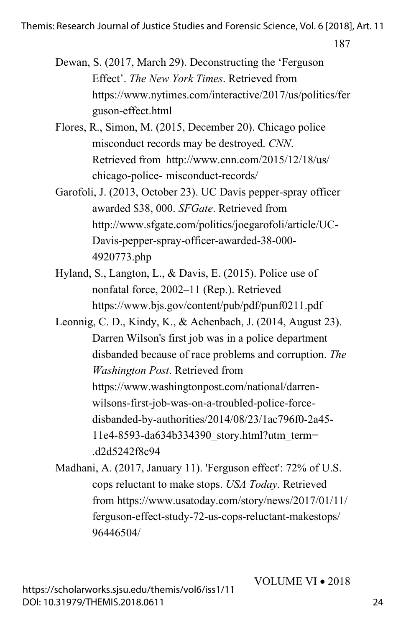- Dewan, S. (2017, March 29). Deconstructing the 'Ferguson Effect'. *The New York Times*. Retrieved from https://www.nytimes.com/interactive/2017/us/politics/fer guson-effect.html
- Flores, R., Simon, M. (2015, December 20). Chicago police misconduct records may be destroyed. *CNN*. Retrieved from http://www.cnn.com/2015/12/18/us/ chicago-police- misconduct-records/
- Garofoli, J. (2013, October 23). UC Davis pepper-spray officer awarded \$38, 000. *SFGate*. Retrieved from http://www.sfgate.com/politics/joegarofoli/article/UC-Davis-pepper-spray-officer-awarded-38-000- 4920773.php
- Hyland, S., Langton, L., & Davis, E. (2015). Police use of nonfatal force, 2002–11 (Rep.). Retrieved https://www.bjs.gov/content/pub/pdf/punf0211.pdf
- Leonnig, C. D., Kindy, K., & Achenbach, J. (2014, August 23). Darren Wilson's first job was in a police department disbanded because of race problems and corruption. *The Washington Post*. Retrieved from https://www.washingtonpost.com/national/darrenwilsons-first-job-was-on-a-troubled-police-forcedisbanded-by-authorities/2014/08/23/1ac796f0-2a45- 11e4-8593-da634b334390\_story.html?utm\_term= .d2d5242f8c94
- Madhani, A. (2017, January 11). 'Ferguson effect': 72% of U.S. cops reluctant to make stops. *USA Today.* Retrieved from https://www.usatoday.com/story/news/2017/01/11/ ferguson-effect-study-72-us-cops-reluctant-makestops/ 96446504/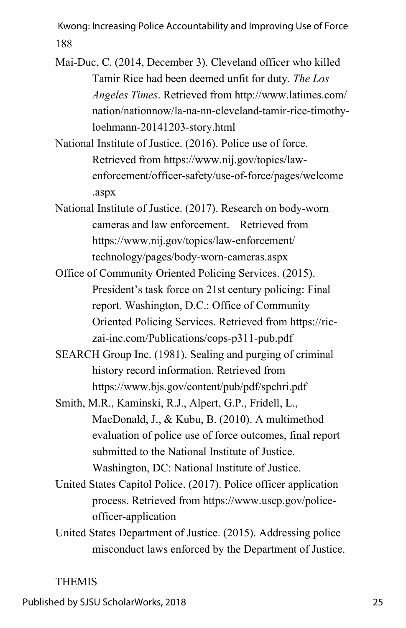- Mai-Duc, C. (2014, December 3). Cleveland officer who killed Tamir Rice had been deemed unfit for duty. *The Los Angeles Times*. Retrieved from http://www.latimes.com/ nation/nationnow/la-na-nn-cleveland-tamir-rice-timothyloehmann-20141203-story.html
- National Institute of Justice. (2016). Police use of force. Retrieved from https://www.nij.gov/topics/lawenforcement/officer-safety/use-of-force/pages/welcome .aspx
- National Institute of Justice. (2017). Research on body-worn cameras and law enforcement. Retrieved from https://www.nij.gov/topics/law-enforcement/ technology/pages/body-worn-cameras.aspx
- Office of Community Oriented Policing Services. (2015). President's task force on 21st century policing: Final report*.* Washington, D.C.: Office of Community Oriented Policing Services. Retrieved from https://riczai-inc.com/Publications/cops-p311-pub.pdf
- SEARCH Group Inc. (1981). Sealing and purging of criminal history record information. Retrieved from https://www.bjs.gov/content/pub/pdf/spchri.pdf
- Smith, M.R., Kaminski, R.J., Alpert, G.P., Fridell, L., MacDonald, J., & Kubu, B. (2010). A multimethod evaluation of police use of force outcomes, final report submitted to the National Institute of Justice. Washington, DC: National Institute of Justice.
- United States Capitol Police. (2017). Police officer application process. Retrieved from https://www.uscp.gov/policeofficer-application
- United States Department of Justice. (2015). Addressing police misconduct laws enforced by the Department of Justice.

## THEMIS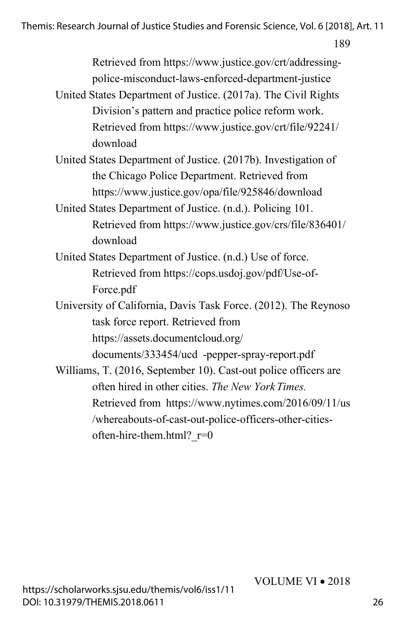Themis: Research Journal of Justice Studies and Forensic Science, Vol. 6 [2018], Art. 11

189

Retrieved from https://www.justice.gov/crt/addressingpolice-misconduct-laws-enforced-department-justice

- United States Department of Justice. (2017a). The Civil Rights Division's pattern and practice police reform work. Retrieved from https://www.justice.gov/crt/file/92241/ download
- United States Department of Justice. (2017b). Investigation of the Chicago Police Department. Retrieved from https://www.justice.gov/opa/file/925846/download
- United States Department of Justice. (n.d.). Policing 101. Retrieved from https://www.justice.gov/crs/file/836401/ download
- United States Department of Justice. (n.d.) Use of force. Retrieved from https://cops.usdoj.gov/pdf/Use-of-Force.pdf
- University of California, Davis Task Force. (2012). The Reynoso task force report. Retrieved from https://assets.documentcloud.org/

documents/333454/ucd -pepper-spray-report.pdf

Williams, T. (2016, September 10). Cast-out police officers are often hired in other cities. *The New YorkTimes.* Retrieved from https://www.nytimes.com/2016/09/11/us /whereabouts-of-cast-out-police-officers-other-citiesoften-hire-them.html? r=0